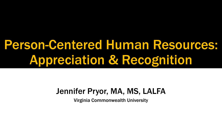# Person-Centered Human Resources: Appreciation & Recognition

#### Jennifer Pryor, MA, MS, LALFA

Virginia Commonwealth University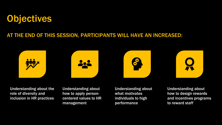### **Objectives**

#### AT THE END OF THIS SESSION, PARTICIPANTS WILL HAVE AN INCREASED:







Understanding about the role of diversity and inclusion in HR practices

Understanding about how to apply personcentered values to HR management

Understanding about what motivates individuals to high performance

Understanding about how to design rewards and incentives programs to reward staff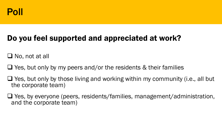

#### Do you feel supported and appreciated at work?

❑ No, not at all

 $\Box$  Yes, but only by my peers and/or the residents & their families

❑ Yes, but only by those living and working within my community (i.e., all but the corporate team)

❑ Yes, by everyone (peers, residents/families, management/administration, and the corporate team)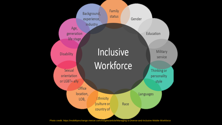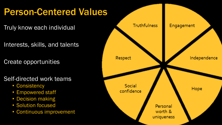# Person-Centered Values

Truly know each individual

Interests, skills, and talents

Create opportunities

#### Self-directed work teams

- Consistency
- Empowered staff
- Decision making
- Solution focused
- Continuous improvement

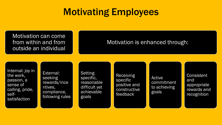## Motivating Employees

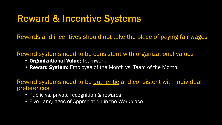### Reward & Incentive Systems

Rewards and incentives should not take the place of paying fair wages

Reward systems need to be consistent with organizational values

- Organizational Value: Teamwork
- Reward System: Employee of the Month vs. Team of the Month

Reward systems need to be authentic and consistent with individual preferences

- Public vs. private recognition & rewards
- Five Languages of Appreciation in the Workplace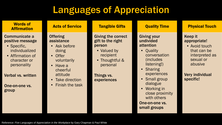# Languages of Appreciation

| <b>Words of</b><br><b>Affirmation</b>                                                                                                                                                       | <b>Acts of Service</b>                                                                                                                                                                                     | <b>Tangible Gifts</b>                                                                                                                           | <b>Quality Time</b>                                                                                                                                                                                                                                    | <b>Physical Touch</b>                                                                                                                    |
|---------------------------------------------------------------------------------------------------------------------------------------------------------------------------------------------|------------------------------------------------------------------------------------------------------------------------------------------------------------------------------------------------------------|-------------------------------------------------------------------------------------------------------------------------------------------------|--------------------------------------------------------------------------------------------------------------------------------------------------------------------------------------------------------------------------------------------------------|------------------------------------------------------------------------------------------------------------------------------------------|
| <b>Communicate a</b><br>positive message<br>• Specific,<br><i>individualized</i><br>• Affirmation of<br>character or<br>personality<br><b>Verbal vs. written</b><br>One-on-one vs.<br>group | <b>Offering</b><br>assistance<br>Ask before<br>$\bullet$<br>doing<br><b>Offer</b><br>$\bullet$<br>voluntarily<br>Have a<br>$\bullet$<br>cheerful<br>attitude<br>• Take direction<br><b>Finish the task</b> | <b>Giving the correct</b><br>gift to the right<br>person<br>• Valued by<br>recipient<br>• Thoughtful &<br>personal<br>Things vs.<br>experiences | <b>Giving your</b><br>undivided<br>attention<br>Quality<br>conversation<br><i>(includes)</i><br>listening!)<br>• Sharing<br>experiences<br>• Small group<br>dialogue<br>Working in<br>close proximity<br>with others<br>One-on-one vs.<br>small groups | Keep it<br>appropriate!<br>• Avoid touch<br>that can be<br>interpreted as<br>sexual or<br>abusive<br><b>Very individual</b><br>specific! |

Reference: *Five Languages of Appreciation in the Workplace* by Gary Chapman & Paul White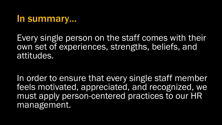#### In summary…

Every single person on the staff comes with their own set of experiences, strengths, beliefs, and attitudes.

In order to ensure that every single staff member feels motivated, appreciated, and recognized, we must apply person-centered practices to our HR management.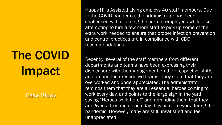# The COVID Impact

Case Study

Happy Hills Assisted Living employs 40 staff members. Due to the COVID pandemic, the administrator has been challenged with retaining the current employees while also attempting to hire a few more staff to pick up some of the extra work needed to ensure that proper infection prevention and control practices are in compliance with CDC recommendations.

Recently, several of the staff members from different departments and teams have been expressing their displeasure with the management on their respective shifts and among their respective teams. They claim that they are overworked and underappreciated. The administrator reminds them that they are all essential heroes coming to work every day, and points to the large sign in the yard saying "Heroes work here!" and reminding them that they are given a free meal each day they come to work during the pandemic. However, many are still unsatisfied and feel unappreciated.